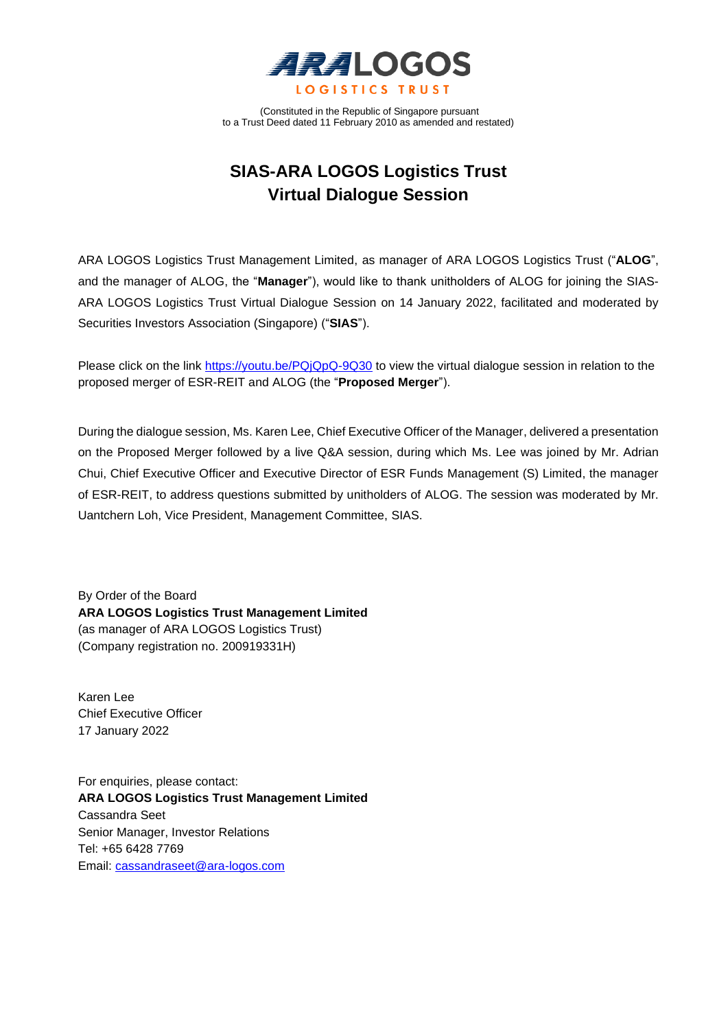

(Constituted in the Republic of Singapore pursuant to a Trust Deed dated 11 February 2010 as amended and restated)

# **SIAS-ARA LOGOS Logistics Trust Virtual Dialogue Session**

ARA LOGOS Logistics Trust Management Limited, as manager of ARA LOGOS Logistics Trust ("**ALOG**", and the manager of ALOG, the "**Manager**"), would like to thank unitholders of ALOG for joining the SIAS-ARA LOGOS Logistics Trust Virtual Dialogue Session on 14 January 2022, facilitated and moderated by Securities Investors Association (Singapore) ("**SIAS**").

Please click on the link<https://youtu.be/PQjQpQ-9Q30> to view the virtual dialogue session in relation to the proposed merger of ESR-REIT and ALOG (the "**Proposed Merger**").

During the dialogue session, Ms. Karen Lee, Chief Executive Officer of the Manager, delivered a presentation on the Proposed Merger followed by a live Q&A session, during which Ms. Lee was joined by Mr. Adrian Chui, Chief Executive Officer and Executive Director of ESR Funds Management (S) Limited, the manager of ESR-REIT, to address questions submitted by unitholders of ALOG. The session was moderated by Mr. Uantchern Loh, Vice President, Management Committee, SIAS.

By Order of the Board **ARA LOGOS Logistics Trust Management Limited**  (as manager of ARA LOGOS Logistics Trust) (Company registration no. 200919331H)

Karen Lee Chief Executive Officer 17 January 2022

For enquiries, please contact: **ARA LOGOS Logistics Trust Management Limited** Cassandra Seet Senior Manager, Investor Relations Tel: +65 6428 7769 Email: [cassandraseet@ara-logos.com](mailto:cassandraseet@ara-logos.com)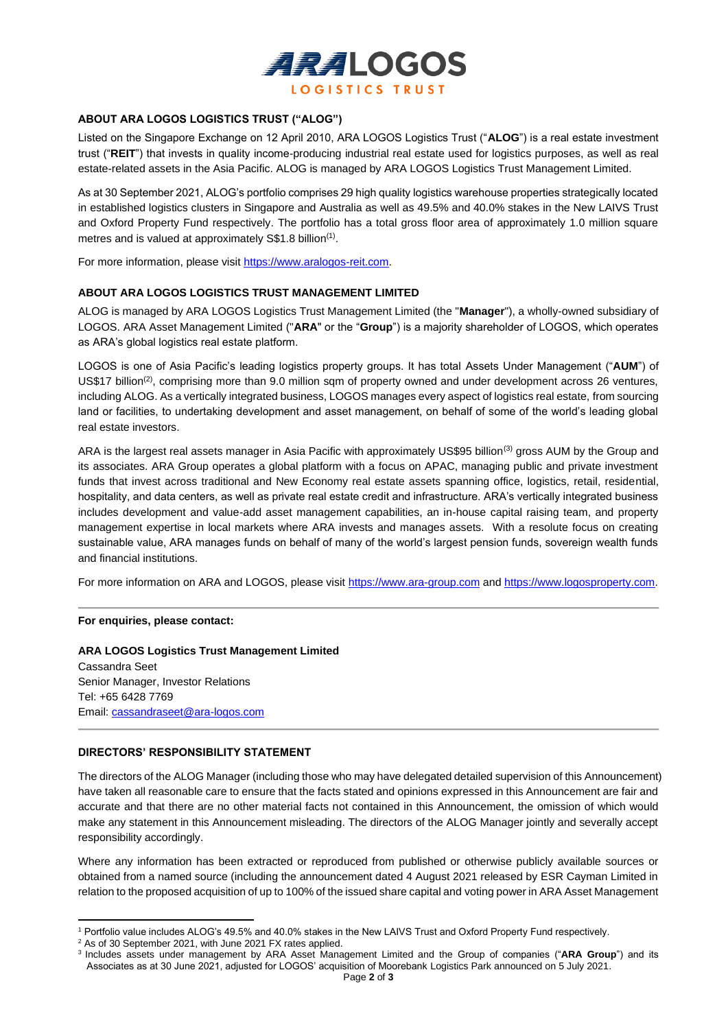

## **ABOUT ARA LOGOS LOGISTICS TRUST ("ALOG")**

Listed on the Singapore Exchange on 12 April 2010, ARA LOGOS Logistics Trust ("**ALOG**") is a real estate investment trust ("**REIT**") that invests in quality income-producing industrial real estate used for logistics purposes, as well as real estate-related assets in the Asia Pacific. ALOG is managed by ARA LOGOS Logistics Trust Management Limited.

As at 30 September 2021, ALOG's portfolio comprises 29 high quality logistics warehouse properties strategically located in established logistics clusters in Singapore and Australia as well as 49.5% and 40.0% stakes in the New LAIVS Trust and Oxford Property Fund respectively. The portfolio has a total gross floor area of approximately 1.0 million square metres and is valued at approximately S\$1.8 billion<sup>(1)</sup>.

For more information, please visit https://www.aralogos-reit.com.

### **ABOUT ARA LOGOS LOGISTICS TRUST MANAGEMENT LIMITED**

ALOG is managed by ARA LOGOS Logistics Trust Management Limited (the "**Manager**"), a wholly-owned subsidiary of LOGOS. ARA Asset Management Limited ("**ARA**" or the "**Group**") is a majority shareholder of LOGOS, which operates as ARA's global logistics real estate platform.

LOGOS is one of Asia Pacific's leading logistics property groups. It has total Assets Under Management ("**AUM**") of US\$17 billion<sup>(2)</sup>, comprising more than 9.0 million sqm of property owned and under development across 26 ventures, including ALOG. As a vertically integrated business, LOGOS manages every aspect of logistics real estate, from sourcing land or facilities, to undertaking development and asset management, on behalf of some of the world's leading global real estate investors.

ARA is the largest real assets manager in Asia Pacific with approximately US\$95 billion<sup>(3)</sup> gross AUM by the Group and its associates. ARA Group operates a global platform with a focus on APAC, managing public and private investment funds that invest across traditional and New Economy real estate assets spanning office, logistics, retail, residential, hospitality, and data centers, as well as private real estate credit and infrastructure. ARA's vertically integrated business includes development and value-add asset management capabilities, an in-house capital raising team, and property management expertise in local markets where ARA invests and manages assets. With a resolute focus on creating sustainable value, ARA manages funds on behalf of many of the world's largest pension funds, sovereign wealth funds and financial institutions.

For more information on ARA and LOGOS, please visit [https://www.ara-group.com](https://www.ara-group.com/) an[d https://www.logosproperty.com.](https://www.logosproperty.com/)

### **For enquiries, please contact:**

**ARA LOGOS Logistics Trust Management Limited** Cassandra Seet Senior Manager, Investor Relations Tel: +65 6428 7769 Email: [cassandraseet@ara-logos.com](mailto:cassandraseet@ara-logos.com)

## **DIRECTORS' RESPONSIBILITY STATEMENT**

The directors of the ALOG Manager (including those who may have delegated detailed supervision of this Announcement) have taken all reasonable care to ensure that the facts stated and opinions expressed in this Announcement are fair and accurate and that there are no other material facts not contained in this Announcement, the omission of which would make any statement in this Announcement misleading. The directors of the ALOG Manager jointly and severally accept responsibility accordingly.

Where any information has been extracted or reproduced from published or otherwise publicly available sources or obtained from a named source (including the announcement dated 4 August 2021 released by ESR Cayman Limited in relation to the proposed acquisition of up to 100% of the issued share capital and voting power in ARA Asset Management

<sup>1</sup> Portfolio value includes ALOG's 49.5% and 40.0% stakes in the New LAIVS Trust and Oxford Property Fund respectively.

<sup>2</sup> As of 30 September 2021, with June 2021 FX rates applied.

<sup>3</sup> Includes assets under management by ARA Asset Management Limited and the Group of companies ("**ARA Group**") and its Associates as at 30 June 2021, adjusted for LOGOS' acquisition of Moorebank Logistics Park announced on 5 July 2021.